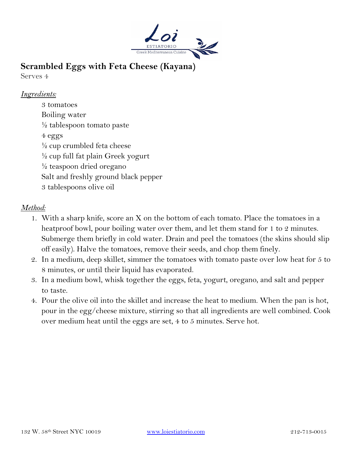

# **Scrambled Eggs with Feta Cheese (Kayana)**

Serves 4

### *Ingredients:*

3 tomatoes Boiling water ½ tablespoon tomato paste 4 eggs  $\frac{1}{2}$  cup crumbled feta cheese  $\frac{1}{2}$  cup full fat plain Greek yogurt ½ teaspoon dried oregano Salt and freshly ground black pepper 3 tablespoons olive oil

#### *Method:*

- 1. With a sharp knife, score an X on the bottom of each tomato. Place the tomatoes in a heatproof bowl, pour boiling water over them, and let them stand for 1 to 2 minutes. Submerge them briefly in cold water. Drain and peel the tomatoes (the skins should slip off easily). Halve the tomatoes, remove their seeds, and chop them finely.
- 2. In a medium, deep skillet, simmer the tomatoes with tomato paste over low heat for 5 to 8 minutes, or until their liquid has evaporated.
- 3. In a medium bowl, whisk together the eggs, feta, yogurt, oregano, and salt and pepper to taste.
- 4. Pour the olive oil into the skillet and increase the heat to medium. When the pan is hot, pour in the egg/cheese mixture, stirring so that all ingredients are well combined. Cook over medium heat until the eggs are set, 4 to 5 minutes. Serve hot.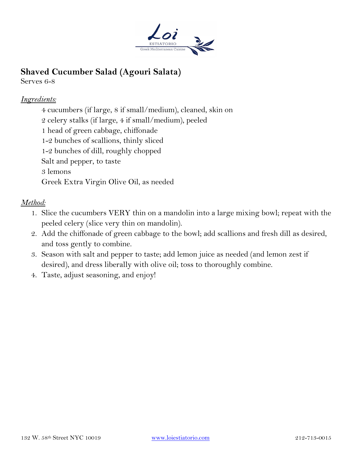

# **Shaved Cucumber Salad (Agouri Salata)**

Serves 6-8

## *Ingredients:*

4 cucumbers (if large, 8 if small/medium), cleaned, skin on 2 celery stalks (if large, 4 if small/medium), peeled 1 head of green cabbage, chiffonade 1-2 bunches of scallions, thinly sliced 1-2 bunches of dill, roughly chopped Salt and pepper, to taste 3 lemons Greek Extra Virgin Olive Oil, as needed

## *Method:*

- 1. Slice the cucumbers VERY thin on a mandolin into a large mixing bowl; repeat with the peeled celery (slice very thin on mandolin).
- 2. Add the chiffonade of green cabbage to the bowl; add scallions and fresh dill as desired, and toss gently to combine.
- 3. Season with salt and pepper to taste; add lemon juice as needed (and lemon zest if desired), and dress liberally with olive oil; toss to thoroughly combine.
- 4. Taste, adjust seasoning, and enjoy!